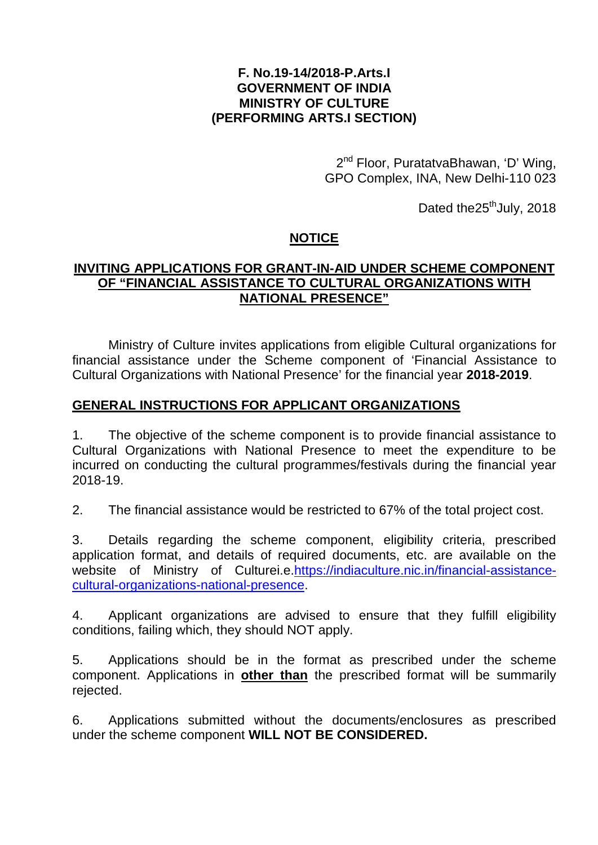## **F. No.19-14/2018-P.Arts.I GOVERNMENT OF INDIA MINISTRY OF CULTURE (PERFORMING ARTS.I SECTION)**

2<sup>nd</sup> Floor, PuratatvaBhawan, 'D' Wing, GPO Complex, INA, New Delhi-110 023

Dated the $25<sup>th</sup>$ July, 2018

# **NOTICE**

# **INVITING APPLICATIONS FOR GRANT-IN-AID UNDER SCHEME COMPONENT OF "FINANCIAL ASSISTANCE TO CULTURAL ORGANIZATIONS WITH NATIONAL PRESENCE"**

Ministry of Culture invites applications from eligible Cultural organizations for financial assistance under the Scheme component of 'Financial Assistance to Cultural Organizations with National Presence' for the financial year **2018-2019**.

# **GENERAL INSTRUCTIONS FOR APPLICANT ORGANIZATIONS**

1. The objective of the scheme component is to provide financial assistance to Cultural Organizations with National Presence to meet the expenditure to be incurred on conducting the cultural programmes/festivals during the financial year 2018-19.

2. The financial assistance would be restricted to 67% of the total project cost.

3. Details regarding the scheme component, eligibility criteria, prescribed application format, and details of required documents, etc. are available on the website of Ministry of Culturei.e[.https://indiaculture.nic.in/financial-assistance](https://indiaculture.nic.in/financial-assistance-cultural-organizations-national-presence)[cultural-organizations-national-presence.](https://indiaculture.nic.in/financial-assistance-cultural-organizations-national-presence)

4. Applicant organizations are advised to ensure that they fulfill eligibility conditions, failing which, they should NOT apply.

5. Applications should be in the format as prescribed under the scheme component. Applications in **other than** the prescribed format will be summarily rejected.

6. Applications submitted without the documents/enclosures as prescribed under the scheme component **WILL NOT BE CONSIDERED.**